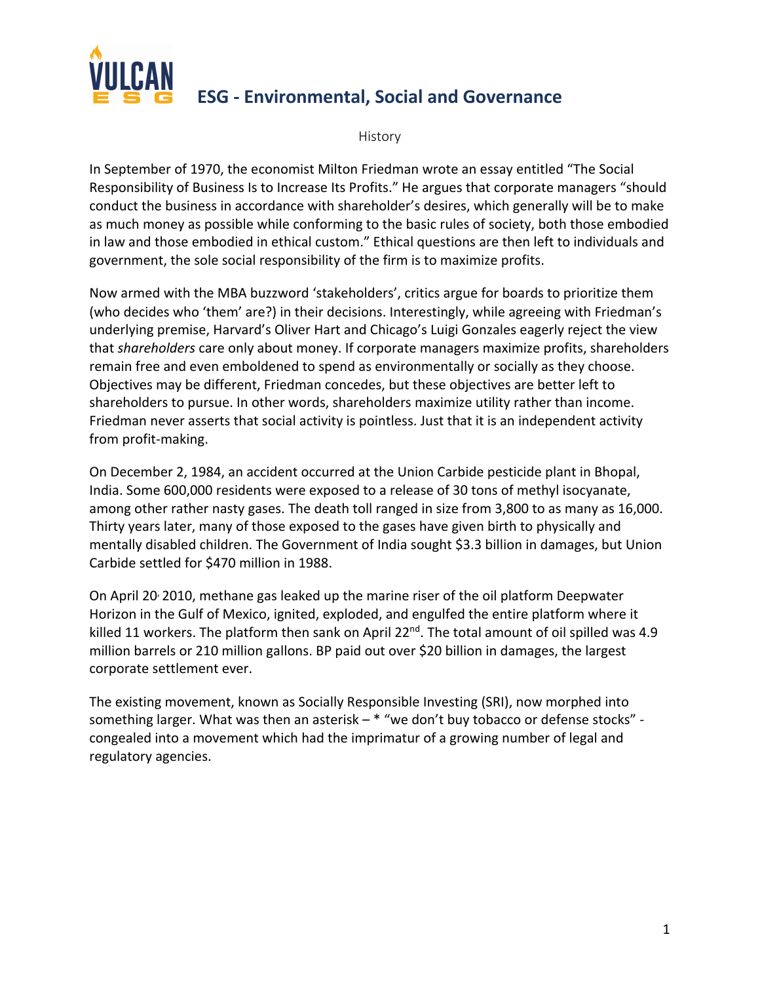

# **ESG - Environmental, Social and Governance**

History

In September of 1970, the economist Milton Friedman wrote an essay entitled "The Social Responsibility of Business Is to Increase Its Profits." He argues that corporate managers "should conduct the business in accordance with shareholder's desires, which generally will be to make as much money as possible while conforming to the basic rules of society, both those embodied in law and those embodied in ethical custom." Ethical questions are then left to individuals and government, the sole social responsibility of the firm is to maximize profits.

Now armed with the MBA buzzword 'stakeholders', critics argue for boards to prioritize them (who decides who 'them' are?) in their decisions. Interestingly, while agreeing with Friedman's underlying premise, Harvard's Oliver Hart and Chicago's Luigi Gonzales eagerly reject the view that *shareholders* care only about money. If corporate managers maximize profits, shareholders remain free and even emboldened to spend as environmentally or socially as they choose. Objectives may be different, Friedman concedes, but these objectives are better left to shareholders to pursue. In other words, shareholders maximize utility rather than income. Friedman never asserts that social activity is pointless. Just that it is an independent activity from profit-making.

On December 2, 1984, an accident occurred at the Union Carbide pesticide plant in Bhopal, India. Some 600,000 residents were exposed to a release of 30 tons of methyl isocyanate, among other rather nasty gases. The death toll ranged in size from 3,800 to as many as 16,000. Thirty years later, many of those exposed to the gases have given birth to physically and mentally disabled children. The Government of India sought \$3.3 billion in damages, but Union Carbide settled for \$470 million in 1988.

On April 20, 2010, methane gas leaked up the marine riser of the oil platform Deepwater Horizon in the Gulf of Mexico, ignited, exploded, and engulfed the entire platform where it killed 11 workers. The platform then sank on April 22<sup>nd</sup>. The total amount of oil spilled was 4.9 million barrels or 210 million gallons. BP paid out over \$20 billion in damages, the largest corporate settlement ever.

The existing movement, known as Socially Responsible Investing (SRI), now morphed into something larger. What was then an asterisk – \* "we don't buy tobacco or defense stocks" congealed into a movement which had the imprimatur of a growing number of legal and regulatory agencies.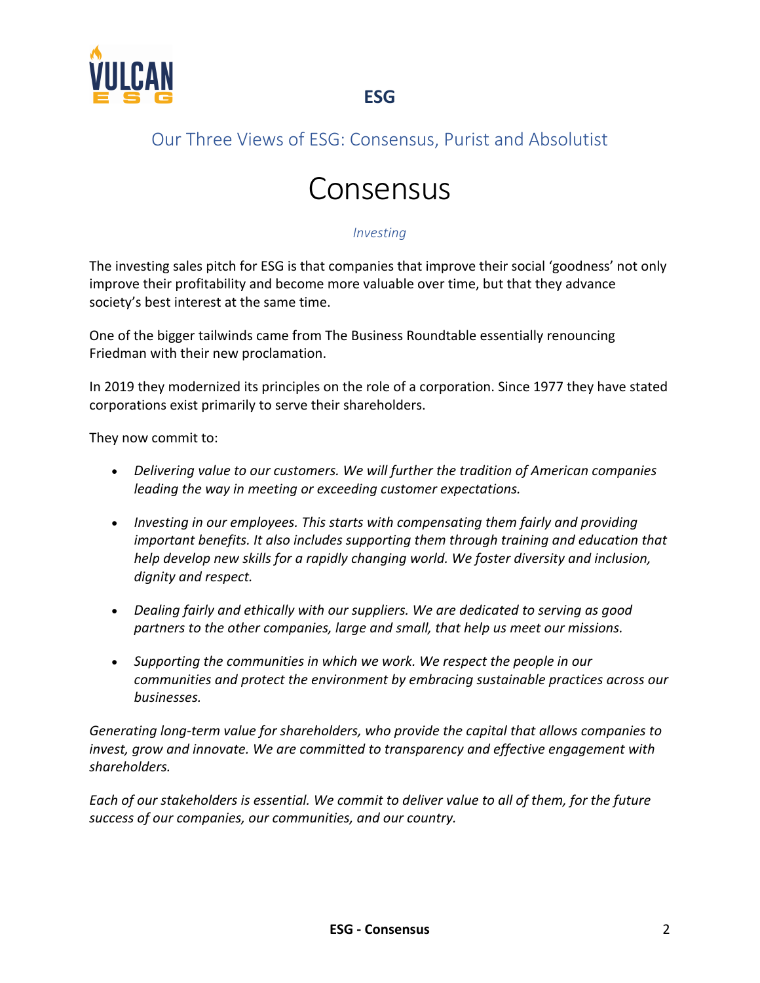

# Our Three Views of ESG: Consensus, Purist and Absolutist

# Consensus

#### *Investing*

The investing sales pitch for ESG is that companies that improve their social 'goodness' not only improve their profitability and become more valuable over time, but that they advance society's best interest at the same time.

One of the bigger tailwinds came from The Business Roundtable essentially renouncing Friedman with their new proclamation.

In 2019 they modernized its principles on the role of a corporation. Since 1977 they have stated corporations exist primarily to serve their shareholders.

They now commit to:

- *Delivering value to our customers. We will further the tradition of American companies leading the way in meeting or exceeding customer expectations.*
- *Investing in our employees. This starts with compensating them fairly and providing important benefits. It also includes supporting them through training and education that help develop new skills for a rapidly changing world. We foster diversity and inclusion, dignity and respect.*
- *Dealing fairly and ethically with our suppliers. We are dedicated to serving as good partners to the other companies, large and small, that help us meet our missions.*
- *Supporting the communities in which we work. We respect the people in our communities and protect the environment by embracing sustainable practices across our businesses.*

*Generating long-term value for shareholders, who provide the capital that allows companies to invest, grow and innovate. We are committed to transparency and effective engagement with shareholders.*

*Each of our stakeholders is essential. We commit to deliver value to all of them, for the future success of our companies, our communities, and our country.*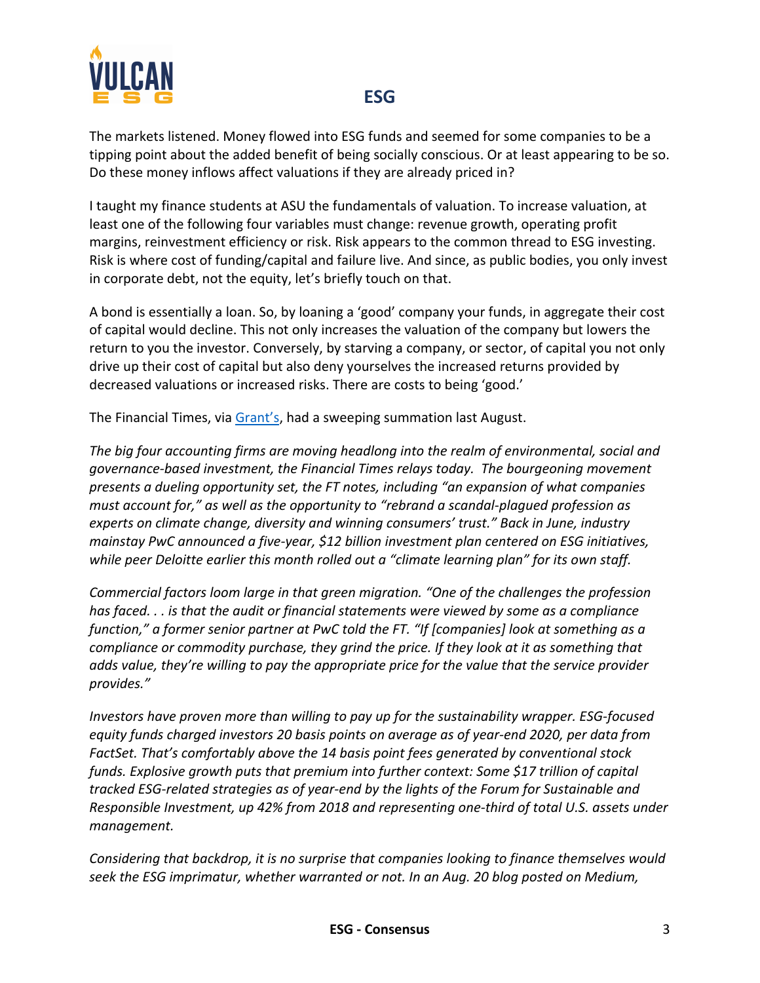

The markets listened. Money flowed into ESG funds and seemed for some companies to be a tipping point about the added benefit of being socially conscious. Or at least appearing to be so. Do these money inflows affect valuations if they are already priced in?

I taught my finance students at ASU the fundamentals of valuation. To increase valuation, at least one of the following four variables must change: revenue growth, operating profit margins, reinvestment efficiency or risk. Risk appears to the common thread to ESG investing. Risk is where cost of funding/capital and failure live. And since, as public bodies, you only invest in corporate debt, not the equity, let's briefly touch on that.

A bond is essentially a loan. So, by loaning a 'good' company your funds, in aggregate their cost of capital would decline. This not only increases the valuation of the company but lowers the return to you the investor. Conversely, by starving a company, or sector, of capital you not only drive up their cost of capital but also deny yourselves the increased returns provided by decreased valuations or increased risks. There are costs to being 'good.'

The Financial Times, via Grant's, had a sweeping summation last August.

*The big four accounting firms are moving headlong into the realm of environmental, social and governance-based investment, the Financial Times relays today. The bourgeoning movement presents a dueling opportunity set, the FT notes, including "an expansion of what companies must account for," as well as the opportunity to "rebrand a scandal-plagued profession as experts on climate change, diversity and winning consumers' trust." Back in June, industry mainstay PwC announced a five-year, \$12 billion investment plan centered on ESG initiatives, while peer Deloitte earlier this month rolled out a "climate learning plan" for its own staff.*

*Commercial factors loom large in that green migration. "One of the challenges the profession has faced. . . is that the audit or financial statements were viewed by some as a compliance function," a former senior partner at PwC told the FT. "If [companies] look at something as a compliance or commodity purchase, they grind the price. If they look at it as something that adds value, they're willing to pay the appropriate price for the value that the service provider provides."*

*Investors have proven more than willing to pay up for the sustainability wrapper. ESG-focused equity funds charged investors 20 basis points on average as of year-end 2020, per data from FactSet. That's comfortably above the 14 basis point fees generated by conventional stock funds. Explosive growth puts that premium into further context: Some \$17 trillion of capital tracked ESG-related strategies as of year-end by the lights of the Forum for Sustainable and Responsible Investment, up 42% from 2018 and representing one-third of total U.S. assets under management.*

*Considering that backdrop, it is no surprise that companies looking to finance themselves would seek the ESG imprimatur, whether warranted or not. In an Aug. 20 blog posted on Medium,*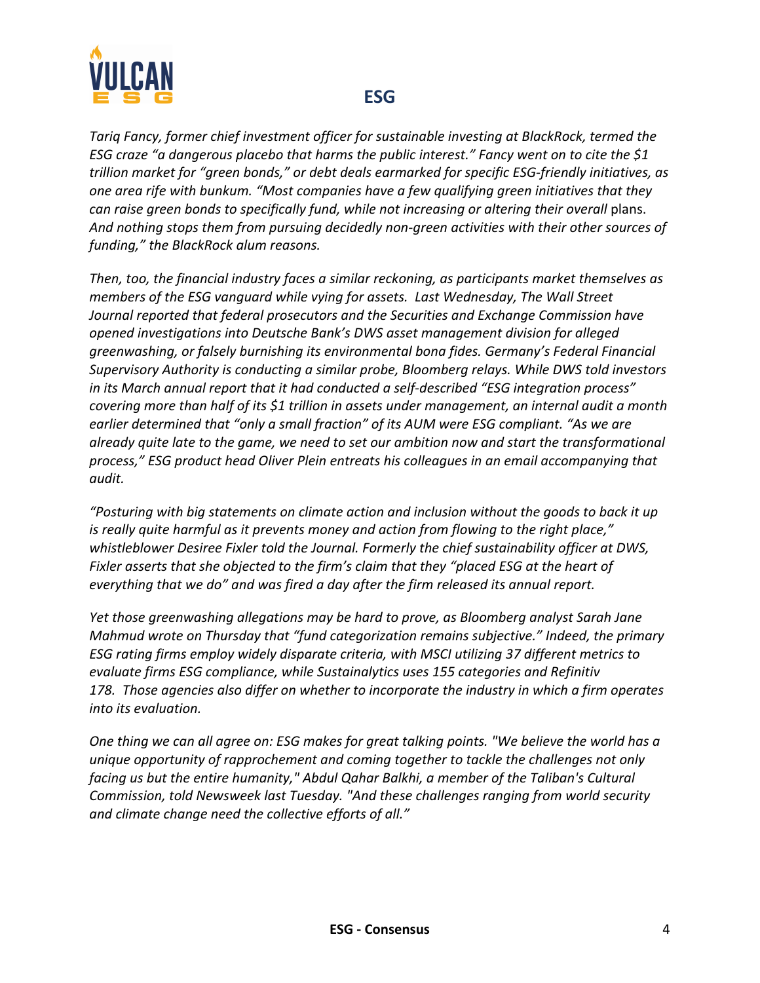

*Tariq Fancy, former chief investment officer for sustainable investing at BlackRock, termed the ESG craze "a dangerous placebo that harms the public interest." Fancy went on to cite the \$1 trillion market for "green bonds," or debt deals earmarked for specific ESG-friendly initiatives, as one area rife with bunkum. "Most companies have a few qualifying green initiatives that they can raise green bonds to specifically fund, while not increasing or altering their overall* plans. *And nothing stops them from pursuing decidedly non-green activities with their other sources of funding," the BlackRock alum reasons.*

*Then, too, the financial industry faces a similar reckoning, as participants market themselves as members of the ESG vanguard while vying for assets. Last Wednesday, The Wall Street Journal reported that federal prosecutors and the Securities and Exchange Commission have opened investigations into Deutsche Bank's DWS asset management division for alleged greenwashing, or falsely burnishing its environmental bona fides. Germany's Federal Financial Supervisory Authority is conducting a similar probe, Bloomberg relays. While DWS told investors in its March annual report that it had conducted a self-described "ESG integration process" covering more than half of its \$1 trillion in assets under management, an internal audit a month earlier determined that "only a small fraction" of its AUM were ESG compliant. "As we are already quite late to the game, we need to set our ambition now and start the transformational process," ESG product head Oliver Plein entreats his colleagues in an email accompanying that audit.*

*"Posturing with big statements on climate action and inclusion without the goods to back it up is really quite harmful as it prevents money and action from flowing to the right place," whistleblower Desiree Fixler told the Journal. Formerly the chief sustainability officer at DWS, Fixler asserts that she objected to the firm's claim that they "placed ESG at the heart of everything that we do" and was fired a day after the firm released its annual report.*

*Yet those greenwashing allegations may be hard to prove, as Bloomberg analyst Sarah Jane Mahmud wrote on Thursday that "fund categorization remains subjective." Indeed, the primary ESG rating firms employ widely disparate criteria, with MSCI utilizing 37 different metrics to evaluate firms ESG compliance, while Sustainalytics uses 155 categories and Refinitiv 178. Those agencies also differ on whether to incorporate the industry in which a firm operates into its evaluation.* 

*One thing we can all agree on: ESG makes for great talking points. "We believe the world has a unique opportunity of rapprochement and coming together to tackle the challenges not only facing us but the entire humanity," Abdul Qahar Balkhi, a member of the Taliban's Cultural Commission, told Newsweek last Tuesday. "And these challenges ranging from world security and climate change need the collective efforts of all."*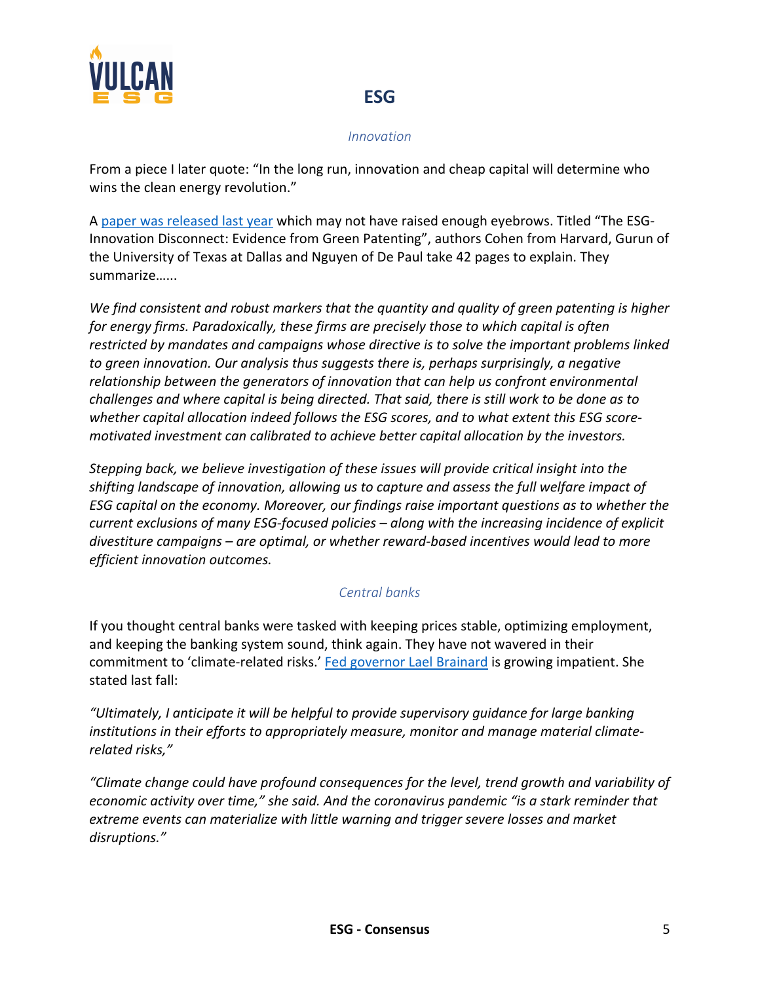

#### *Innovation*

From a piece I later quote: "In the long run, innovation and cheap capital will determine who wins the clean energy revolution."

A paper was released last year which may not have raised enough eyebrows. Titled "The ESG-Innovation Disconnect: Evidence from Green Patenting", authors Cohen from Harvard, Gurun of the University of Texas at Dallas and Nguyen of De Paul take 42 pages to explain. They summarize…...

*We find consistent and robust markers that the quantity and quality of green patenting is higher for energy firms. Paradoxically, these firms are precisely those to which capital is often restricted by mandates and campaigns whose directive is to solve the important problems linked to green innovation. Our analysis thus suggests there is, perhaps surprisingly, a negative relationship between the generators of innovation that can help us confront environmental challenges and where capital is being directed. That said, there is still work to be done as to whether capital allocation indeed follows the ESG scores, and to what extent this ESG scoremotivated investment can calibrated to achieve better capital allocation by the investors.*

*Stepping back, we believe investigation of these issues will provide critical insight into the shifting landscape of innovation, allowing us to capture and assess the full welfare impact of ESG capital on the economy. Moreover, our findings raise important questions as to whether the current exclusions of many ESG-focused policies – along with the increasing incidence of explicit divestiture campaigns – are optimal, or whether reward-based incentives would lead to more efficient innovation outcomes.*

#### *Central banks*

If you thought central banks were tasked with keeping prices stable, optimizing employment, and keeping the banking system sound, think again. They have not wavered in their commitment to 'climate-related risks.' Fed governor Lael Brainard is growing impatient. She stated last fall:

*"Ultimately, I anticipate it will be helpful to provide supervisory guidance for large banking institutions in their efforts to appropriately measure, monitor and manage material climaterelated risks,"*

*"Climate change could have profound consequences for the level, trend growth and variability of economic activity over time," she said. And the coronavirus pandemic "is a stark reminder that extreme events can materialize with little warning and trigger severe losses and market disruptions."*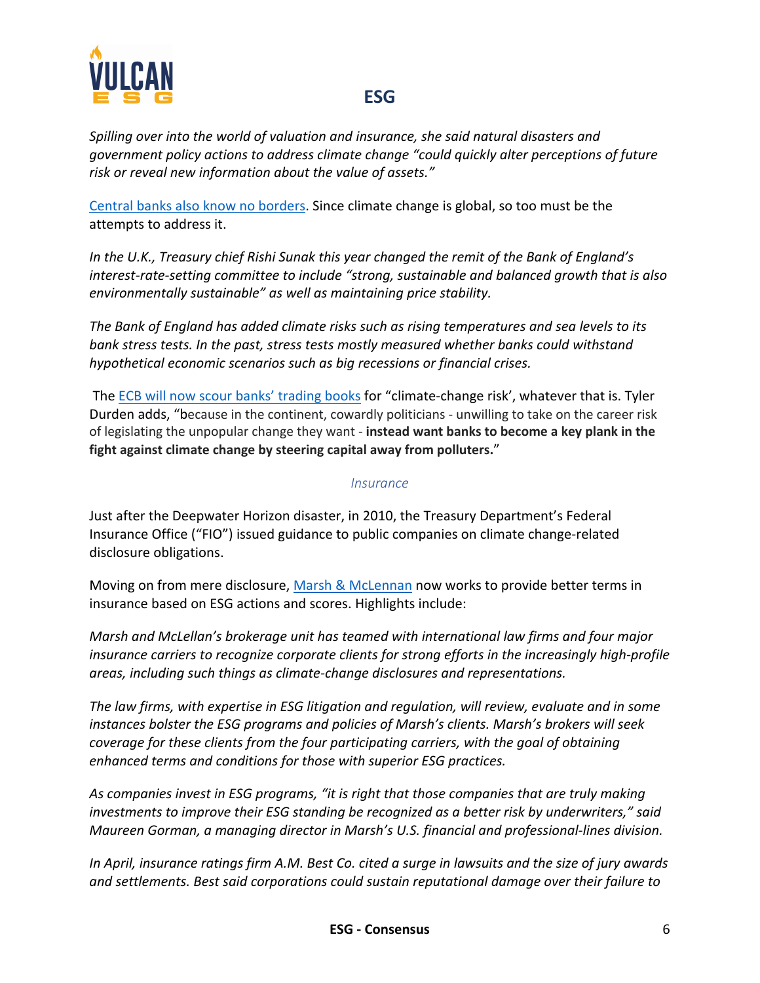

*Spilling over into the world of valuation and insurance, she said natural disasters and government policy actions to address climate change "could quickly alter perceptions of future risk or reveal new information about the value of assets."*

Central banks also know no borders. Since climate change is global, so too must be the attempts to address it.

*In the U.K., Treasury chief Rishi Sunak this year changed the remit of the Bank of England's interest-rate-setting committee to include "strong, sustainable and balanced growth that is also environmentally sustainable" as well as maintaining price stability.*

*The Bank of England has added climate risks such as rising temperatures and sea levels to its bank stress tests. In the past, stress tests mostly measured whether banks could withstand hypothetical economic scenarios such as big recessions or financial crises.*

The ECB will now scour banks' trading books for "climate-change risk', whatever that is. Tyler Durden adds, "because in the continent, cowardly politicians - unwilling to take on the career risk of legislating the unpopular change they want - **instead want banks to become a key plank in the fight against climate change by steering capital away from polluters.**"

#### *Insurance*

Just after the Deepwater Horizon disaster, in 2010, the Treasury Department's Federal Insurance Office ("FIO") issued guidance to public companies on climate change-related disclosure obligations.

Moving on from mere disclosure, Marsh & McLennan now works to provide better terms in insurance based on ESG actions and scores. Highlights include:

*Marsh and McLellan's brokerage unit has teamed with international law firms and four major insurance carriers to recognize corporate clients for strong efforts in the increasingly high-profile areas, including such things as climate-change disclosures and representations.*

*The law firms, with expertise in ESG litigation and regulation, will review, evaluate and in some instances bolster the ESG programs and policies of Marsh's clients. Marsh's brokers will seek coverage for these clients from the four participating carriers, with the goal of obtaining enhanced terms and conditions for those with superior ESG practices.*

*As companies invest in ESG programs, "it is right that those companies that are truly making investments to improve their ESG standing be recognized as a better risk by underwriters," said Maureen Gorman, a managing director in Marsh's U.S. financial and professional-lines division.*

*In April, insurance ratings firm A.M. Best Co. cited a surge in lawsuits and the size of jury awards and settlements. Best said corporations could sustain reputational damage over their failure to*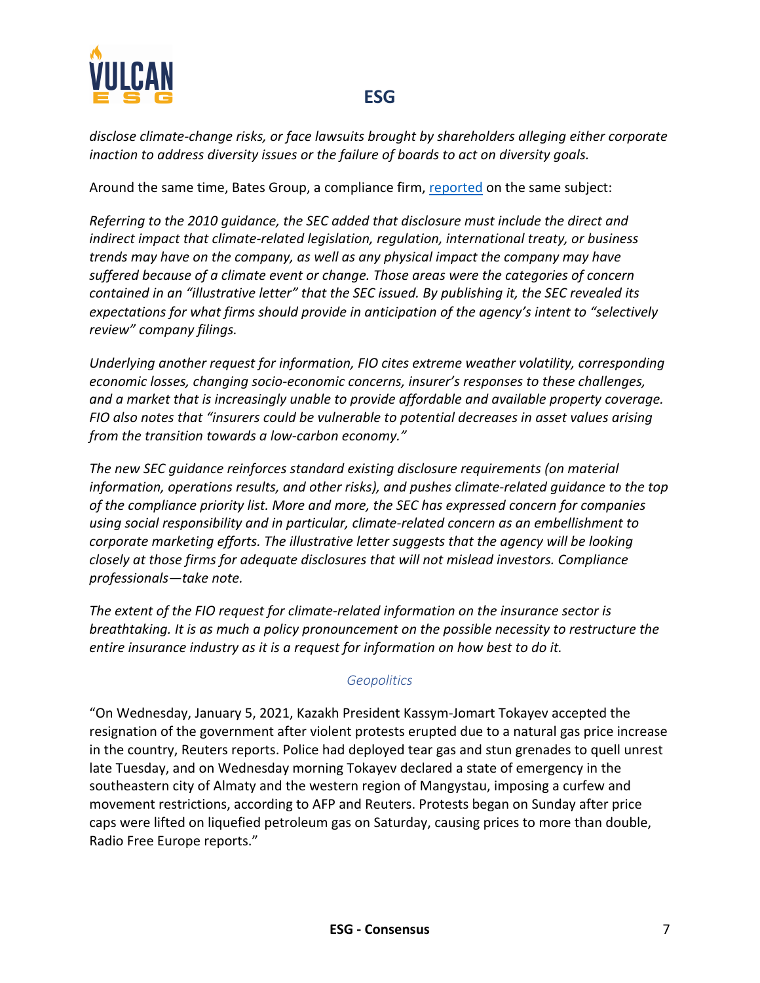

*disclose climate-change risks, or face lawsuits brought by shareholders alleging either corporate inaction to address diversity issues or the failure of boards to act on diversity goals.*

Around the same time, Bates Group, a compliance firm, reported on the same subject:

*Referring to the 2010 guidance, the SEC added that disclosure must include the direct and indirect impact that climate-related legislation, regulation, international treaty, or business trends may have on the company, as well as any physical impact the company may have suffered because of a climate event or change. Those areas were the categories of concern contained in an "illustrative letter" that the SEC issued. By publishing it, the SEC revealed its expectations for what firms should provide in anticipation of the agency's intent to "selectively review" company filings.*

*Underlying another request for information, FIO cites extreme weather volatility, corresponding economic losses, changing socio-economic concerns, insurer's responses to these challenges, and a market that is increasingly unable to provide affordable and available property coverage. FIO also notes that "insurers could be vulnerable to potential decreases in asset values arising from the transition towards a low-carbon economy."*

*The new SEC guidance reinforces standard existing disclosure requirements (on material information, operations results, and other risks), and pushes climate-related guidance to the top of the compliance priority list. More and more, the SEC has expressed concern for companies using social responsibility and in particular, climate-related concern as an embellishment to corporate marketing efforts. The illustrative letter suggests that the agency will be looking closely at those firms for adequate disclosures that will not mislead investors. Compliance professionals—take note.*

*The extent of the FIO request for climate-related information on the insurance sector is breathtaking. It is as much a policy pronouncement on the possible necessity to restructure the entire insurance industry as it is a request for information on how best to do it.*

#### *Geopolitics*

"On Wednesday, January 5, 2021, Kazakh President Kassym-Jomart Tokayev accepted the resignation of the government after violent protests erupted due to a natural gas price increase in the country, Reuters reports. Police had deployed tear gas and stun grenades to quell unrest late Tuesday, and on Wednesday morning Tokayev declared a state of emergency in the southeastern city of Almaty and the western region of Mangystau, imposing a curfew and movement restrictions, according to AFP and Reuters. Protests began on Sunday after price caps were lifted on liquefied petroleum gas on Saturday, causing prices to more than double, Radio Free Europe reports."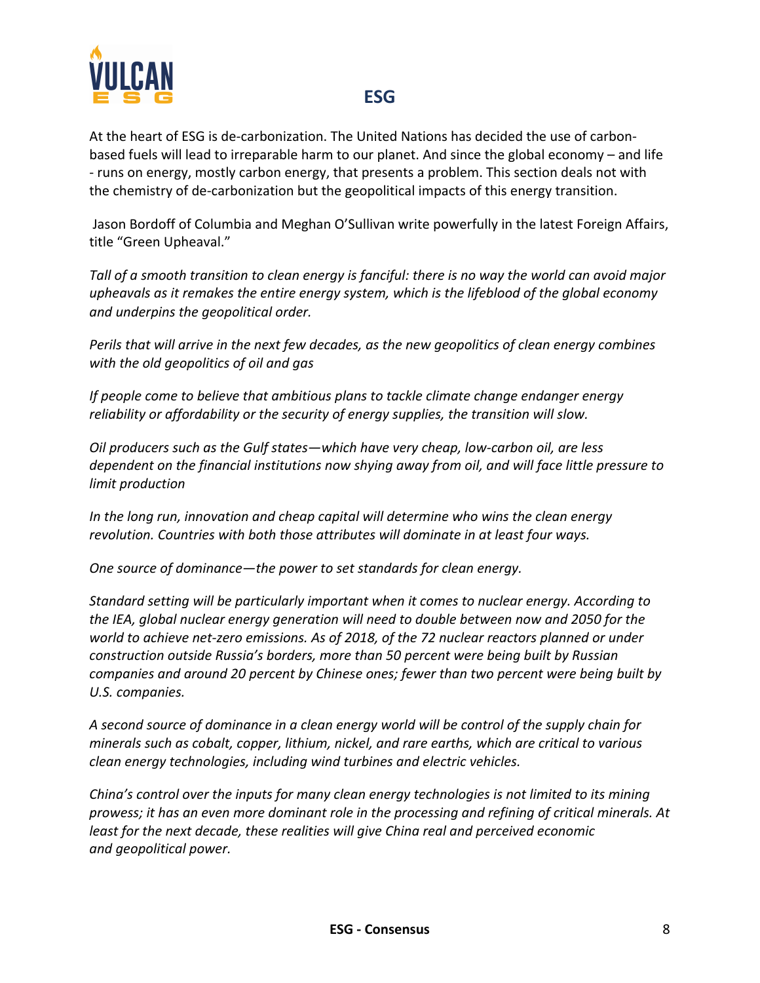

At the heart of ESG is de-carbonization. The United Nations has decided the use of carbonbased fuels will lead to irreparable harm to our planet. And since the global economy – and life - runs on energy, mostly carbon energy, that presents a problem. This section deals not with the chemistry of de-carbonization but the geopolitical impacts of this energy transition.

Jason Bordoff of Columbia and Meghan O'Sullivan write powerfully in the latest Foreign Affairs, title "Green Upheaval."

*Tall of a smooth transition to clean energy is fanciful: there is no way the world can avoid major upheavals as it remakes the entire energy system, which is the lifeblood of the global economy and underpins the geopolitical order.*

*Perils that will arrive in the next few decades, as the new geopolitics of clean energy combines with the old geopolitics of oil and gas*

*If people come to believe that ambitious plans to tackle climate change endanger energy reliability or affordability or the security of energy supplies, the transition will slow.*

*Oil producers such as the Gulf states—which have very cheap, low-carbon oil, are less dependent on the financial institutions now shying away from oil, and will face little pressure to limit production*

*In the long run, innovation and cheap capital will determine who wins the clean energy revolution. Countries with both those attributes will dominate in at least four ways.*

*One source of dominance—the power to set standards for clean energy.* 

*Standard setting will be particularly important when it comes to nuclear energy. According to the IEA, global nuclear energy generation will need to double between now and 2050 for the world to achieve net-zero emissions. As of 2018, of the 72 nuclear reactors planned or under construction outside Russia's borders, more than 50 percent were being built by Russian companies and around 20 percent by Chinese ones; fewer than two percent were being built by U.S. companies.*

*A second source of dominance in a clean energy world will be control of the supply chain for minerals such as cobalt, copper, lithium, nickel, and rare earths, which are critical to various clean energy technologies, including wind turbines and electric vehicles.*

*China's control over the inputs for many clean energy technologies is not limited to its mining prowess; it has an even more dominant role in the processing and refining of critical minerals. At least for the next decade, these realities will give China real and perceived economic and geopolitical power.*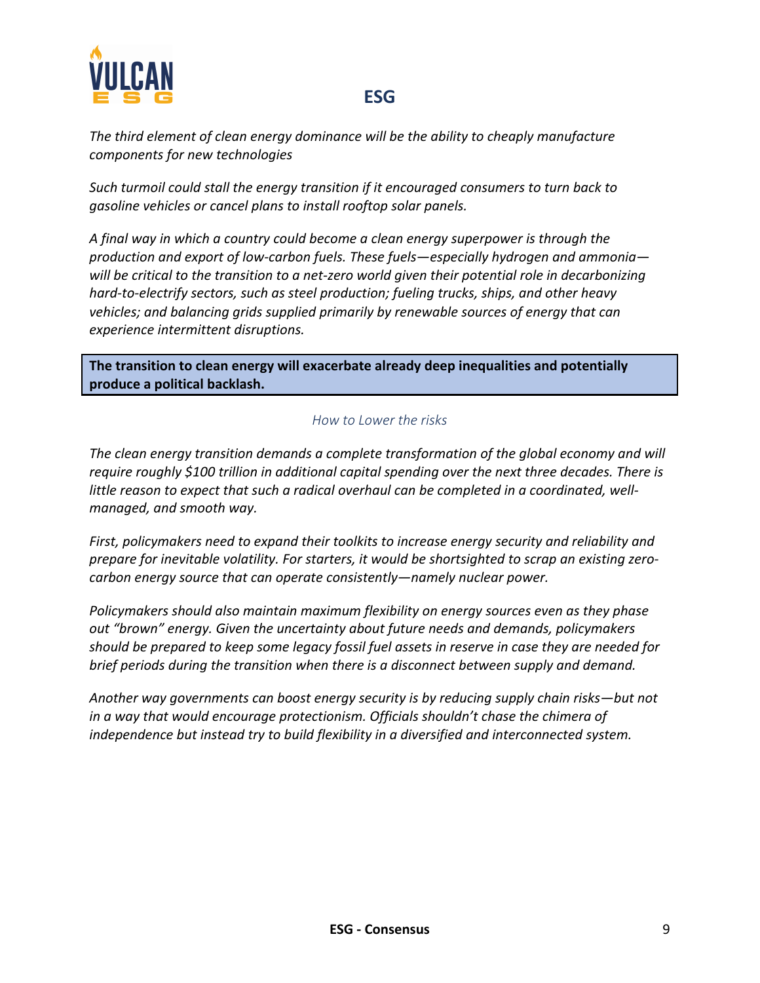

*The third element of clean energy dominance will be the ability to cheaply manufacture components for new technologies*

*Such turmoil could stall the energy transition if it encouraged consumers to turn back to gasoline vehicles or cancel plans to install rooftop solar panels.*

*A final way in which a country could become a clean energy superpower is through the production and export of low-carbon fuels. These fuels—especially hydrogen and ammonia will be critical to the transition to a net-zero world given their potential role in decarbonizing hard-to-electrify sectors, such as steel production; fueling trucks, ships, and other heavy vehicles; and balancing grids supplied primarily by renewable sources of energy that can experience intermittent disruptions.*

**The transition to clean energy will exacerbate already deep inequalities and potentially produce a political backlash.**

#### *How to Lower the risks*

*The clean energy transition demands a complete transformation of the global economy and will require roughly \$100 trillion in additional capital spending over the next three decades. There is little reason to expect that such a radical overhaul can be completed in a coordinated, wellmanaged, and smooth way.*

*First, policymakers need to expand their toolkits to increase energy security and reliability and prepare for inevitable volatility. For starters, it would be shortsighted to scrap an existing zerocarbon energy source that can operate consistently—namely nuclear power.*

*Policymakers should also maintain maximum flexibility on energy sources even as they phase out "brown" energy. Given the uncertainty about future needs and demands, policymakers should be prepared to keep some legacy fossil fuel assets in reserve in case they are needed for brief periods during the transition when there is a disconnect between supply and demand.*

*Another way governments can boost energy security is by reducing supply chain risks—but not in a way that would encourage protectionism. Officials shouldn't chase the chimera of independence but instead try to build flexibility in a diversified and interconnected system.*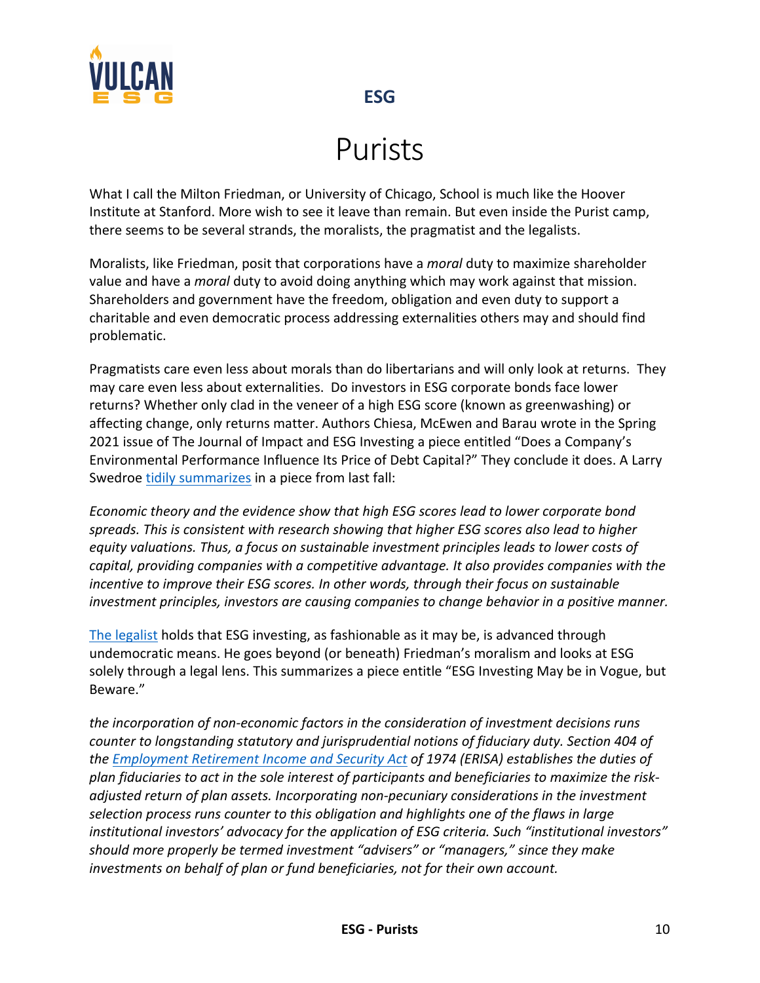

# Purists

What I call the Milton Friedman, or University of Chicago, School is much like the Hoover Institute at Stanford. More wish to see it leave than remain. But even inside the Purist camp, there seems to be several strands, the moralists, the pragmatist and the legalists.

Moralists, like Friedman, posit that corporations have a *moral* duty to maximize shareholder value and have a *moral* duty to avoid doing anything which may work against that mission. Shareholders and government have the freedom, obligation and even duty to support a charitable and even democratic process addressing externalities others may and should find problematic.

Pragmatists care even less about morals than do libertarians and will only look at returns. They may care even less about externalities. Do investors in ESG corporate bonds face lower returns? Whether only clad in the veneer of a high ESG score (known as greenwashing) or affecting change, only returns matter. Authors Chiesa, McEwen and Barau wrote in the Spring 2021 issue of The Journal of Impact and ESG Investing a piece entitled "Does a Company's Environmental Performance Influence Its Price of Debt Capital?" They conclude it does. A Larry Swedroe tidily summarizes in a piece from last fall:

*Economic theory and the evidence show that high ESG scores lead to lower corporate bond spreads. This is consistent with research showing that higher ESG scores also lead to higher equity valuations. Thus, a focus on sustainable investment principles leads to lower costs of capital, providing companies with a competitive advantage. It also provides companies with the incentive to improve their ESG scores. In other words, through their focus on sustainable investment principles, investors are causing companies to change behavior in a positive manner.*

The legalist holds that ESG investing, as fashionable as it may be, is advanced through undemocratic means. He goes beyond (or beneath) Friedman's moralism and looks at ESG solely through a legal lens. This summarizes a piece entitle "ESG Investing May be in Vogue, but Beware."

*the incorporation of non-economic factors in the consideration of investment decisions runs counter to longstanding statutory and jurisprudential notions of fiduciary duty. Section 404 of the Employment Retirement Income and Security Act of 1974 (ERISA) establishes the duties of plan fiduciaries to act in the sole interest of participants and beneficiaries to maximize the riskadjusted return of plan assets. Incorporating non-pecuniary considerations in the investment selection process runs counter to this obligation and highlights one of the flaws in large institutional investors' advocacy for the application of ESG criteria. Such "institutional investors" should more properly be termed investment "advisers" or "managers," since they make investments on behalf of plan or fund beneficiaries, not for their own account.*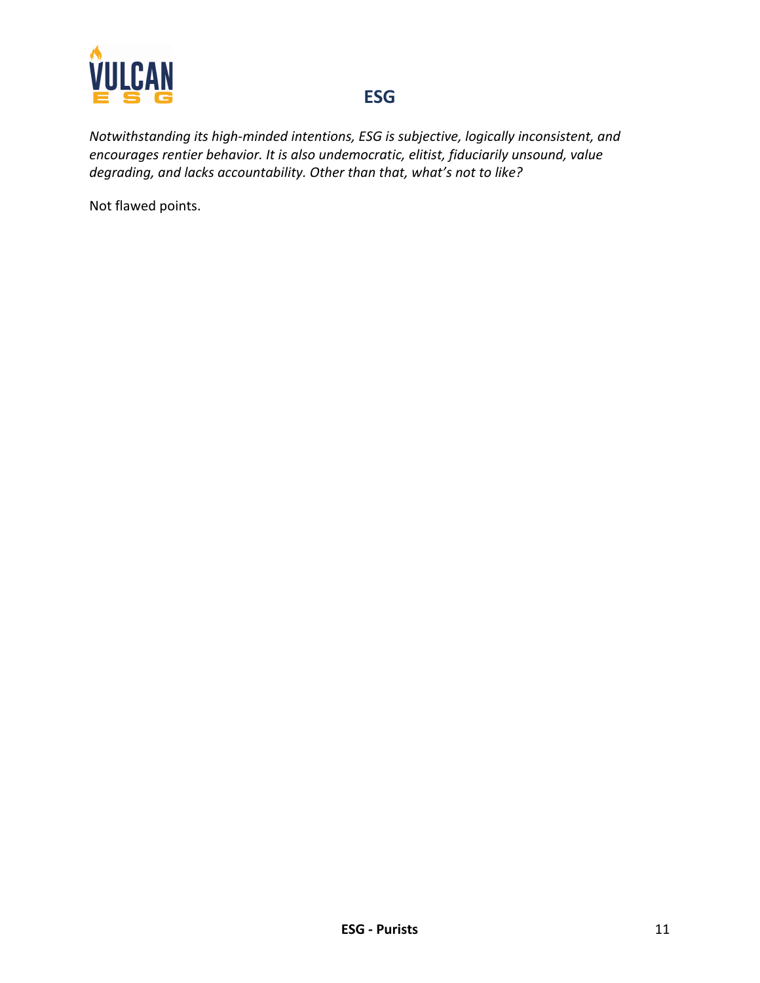

*Notwithstanding its high-minded intentions, ESG is subjective, logically inconsistent, and encourages rentier behavior. It is also undemocratic, elitist, fiduciarily unsound, value degrading, and lacks accountability. Other than that, what's not to like?*

Not flawed points.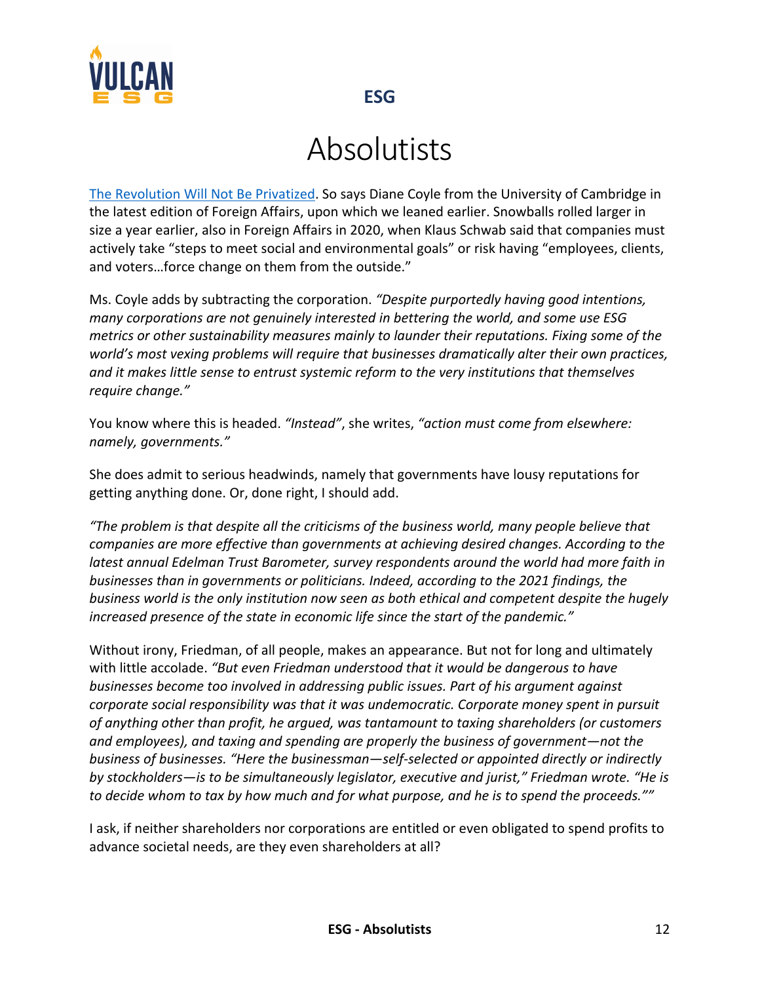

# Absolutists

The Revolution Will Not Be Privatized. So says Diane Coyle from the University of Cambridge in the latest edition of Foreign Affairs, upon which we leaned earlier. Snowballs rolled larger in size a year earlier, also in Foreign Affairs in 2020, when Klaus Schwab said that companies must actively take "steps to meet social and environmental goals" or risk having "employees, clients, and voters…force change on them from the outside."

Ms. Coyle adds by subtracting the corporation. *"Despite purportedly having good intentions, many corporations are not genuinely interested in bettering the world, and some use ESG metrics or other sustainability measures mainly to launder their reputations. Fixing some of the world's most vexing problems will require that businesses dramatically alter their own practices, and it makes little sense to entrust systemic reform to the very institutions that themselves require change."*

You know where this is headed. *"Instead"*, she writes, *"action must come from elsewhere: namely, governments."*

She does admit to serious headwinds, namely that governments have lousy reputations for getting anything done. Or, done right, I should add.

*"The problem is that despite all the criticisms of the business world, many people believe that companies are more effective than governments at achieving desired changes. According to the latest annual Edelman Trust Barometer, survey respondents around the world had more faith in businesses than in governments or politicians. Indeed, according to the 2021 findings, the business world is the only institution now seen as both ethical and competent despite the hugely increased presence of the state in economic life since the start of the pandemic."*

Without irony, Friedman, of all people, makes an appearance. But not for long and ultimately with little accolade. *"But even Friedman understood that it would be dangerous to have businesses become too involved in addressing public issues. Part of his argument against corporate social responsibility was that it was undemocratic. Corporate money spent in pursuit of anything other than profit, he argued, was tantamount to taxing shareholders (or customers and employees), and taxing and spending are properly the business of government—not the business of businesses. "Here the businessman—self-selected or appointed directly or indirectly by stockholders—is to be simultaneously legislator, executive and jurist," Friedman wrote. "He is to decide whom to tax by how much and for what purpose, and he is to spend the proceeds.""*

I ask, if neither shareholders nor corporations are entitled or even obligated to spend profits to advance societal needs, are they even shareholders at all?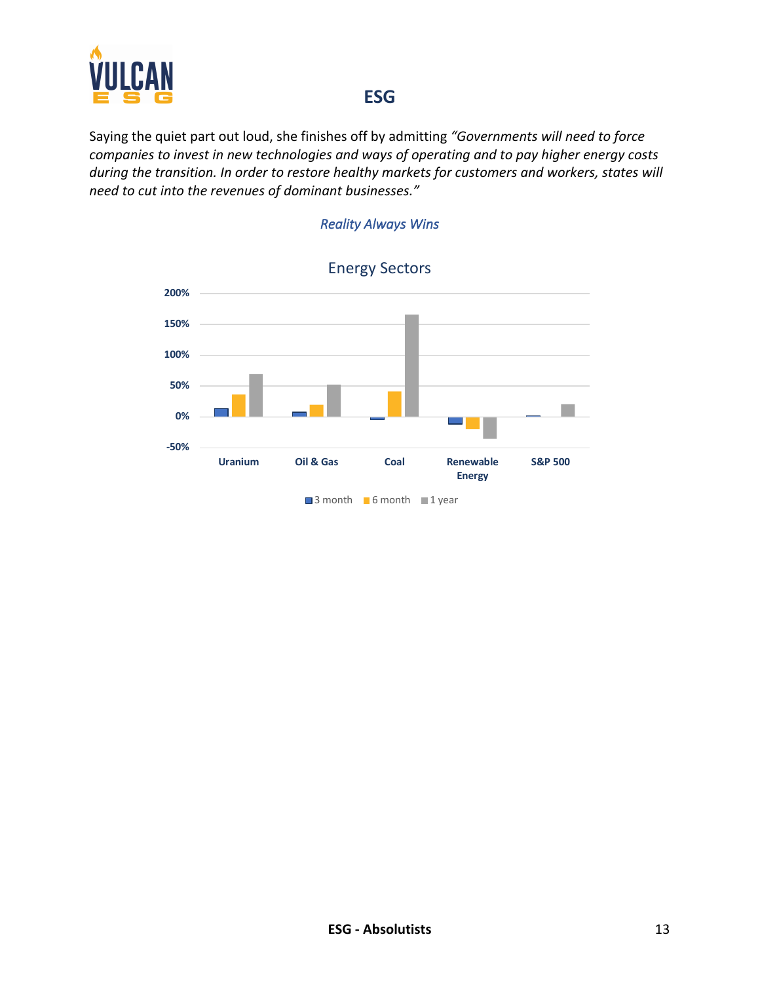

Saying the quiet part out loud, she finishes off by admitting *"Governments will need to force companies to invest in new technologies and ways of operating and to pay higher energy costs during the transition. In order to restore healthy markets for customers and workers, states will need to cut into the revenues of dominant businesses."*



#### *Reality Always Wins*